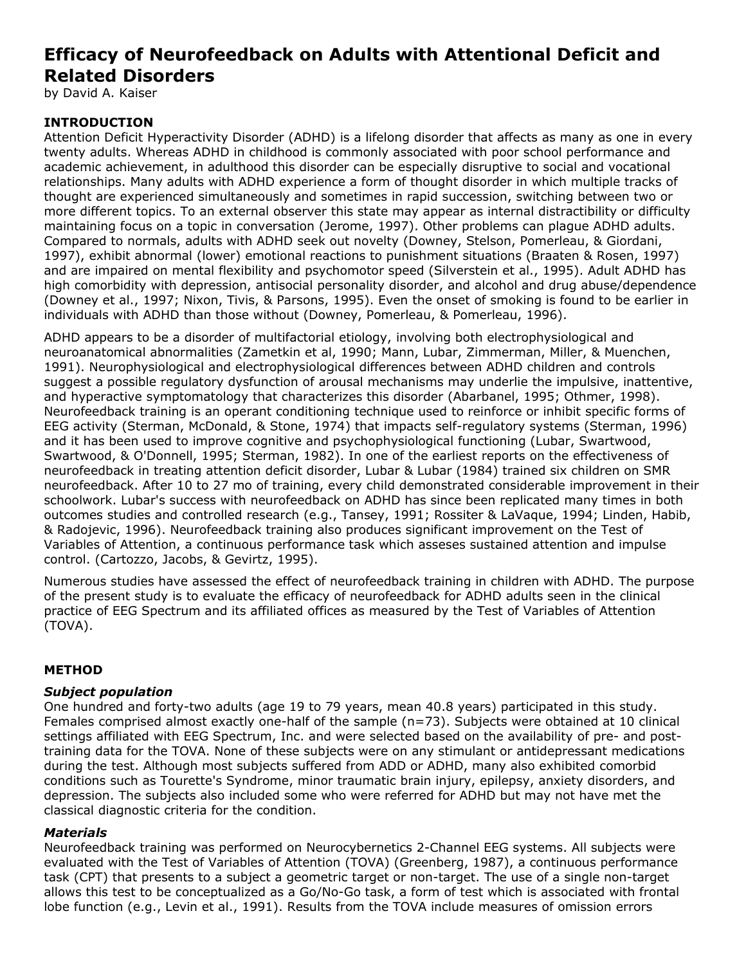# **Efficacy of Neurofeedback on Adults with Attentional Deficit and Related Disorders**

by David A. Kaiser

## **INTRODUCTION**

Attention Deficit Hyperactivity Disorder (ADHD) is a lifelong disorder that affects as many as one in every twenty adults. Whereas ADHD in childhood is commonly associated with poor school performance and academic achievement, in adulthood this disorder can be especially disruptive to social and vocational relationships. Many adults with ADHD experience a form of thought disorder in which multiple tracks of thought are experienced simultaneously and sometimes in rapid succession, switching between two or more different topics. To an external observer this state may appear as internal distractibility or difficulty maintaining focus on a topic in conversation (Jerome, 1997). Other problems can plague ADHD adults. Compared to normals, adults with ADHD seek out novelty (Downey, Stelson, Pomerleau, & Giordani, 1997), exhibit abnormal (lower) emotional reactions to punishment situations (Braaten & Rosen, 1997) and are impaired on mental flexibility and psychomotor speed (Silverstein et al., 1995). Adult ADHD has high comorbidity with depression, antisocial personality disorder, and alcohol and drug abuse/dependence (Downey et al., 1997; Nixon, Tivis, & Parsons, 1995). Even the onset of smoking is found to be earlier in individuals with ADHD than those without (Downey, Pomerleau, & Pomerleau, 1996).

ADHD appears to be a disorder of multifactorial etiology, involving both electrophysiological and neuroanatomical abnormalities (Zametkin et al, 1990; Mann, Lubar, Zimmerman, Miller, & Muenchen, 1991). Neurophysiological and electrophysiological differences between ADHD children and controls suggest a possible regulatory dysfunction of arousal mechanisms may underlie the impulsive, inattentive, and hyperactive symptomatology that characterizes this disorder (Abarbanel, 1995; Othmer, 1998). Neurofeedback training is an operant conditioning technique used to reinforce or inhibit specific forms of EEG activity (Sterman, McDonald, & Stone, 1974) that impacts self-regulatory systems (Sterman, 1996) and it has been used to improve cognitive and psychophysiological functioning (Lubar, Swartwood, Swartwood, & O'Donnell, 1995; Sterman, 1982). In one of the earliest reports on the effectiveness of neurofeedback in treating attention deficit disorder, Lubar & Lubar (1984) trained six children on SMR neurofeedback. After 10 to 27 mo of training, every child demonstrated considerable improvement in their schoolwork. Lubar's success with neurofeedback on ADHD has since been replicated many times in both outcomes studies and controlled research (e.g., Tansey, 1991; Rossiter & LaVaque, 1994; Linden, Habib, & Radojevic, 1996). Neurofeedback training also produces significant improvement on the Test of Variables of Attention, a continuous performance task which asseses sustained attention and impulse control. (Cartozzo, Jacobs, & Gevirtz, 1995).

Numerous studies have assessed the effect of neurofeedback training in children with ADHD. The purpose of the present study is to evaluate the efficacy of neurofeedback for ADHD adults seen in the clinical practice of EEG Spectrum and its affiliated offices as measured by the Test of Variables of Attention (TOVA).

## **METHOD**

### *Subject population*

One hundred and forty-two adults (age 19 to 79 years, mean 40.8 years) participated in this study. Females comprised almost exactly one-half of the sample (n=73). Subjects were obtained at 10 clinical settings affiliated with EEG Spectrum, Inc. and were selected based on the availability of pre- and posttraining data for the TOVA. None of these subjects were on any stimulant or antidepressant medications during the test. Although most subjects suffered from ADD or ADHD, many also exhibited comorbid conditions such as Tourette's Syndrome, minor traumatic brain injury, epilepsy, anxiety disorders, and depression. The subjects also included some who were referred for ADHD but may not have met the classical diagnostic criteria for the condition.

### *Materials*

Neurofeedback training was performed on Neurocybernetics 2-Channel EEG systems. All subjects were evaluated with the Test of Variables of Attention (TOVA) (Greenberg, 1987), a continuous performance task (CPT) that presents to a subject a geometric target or non-target. The use of a single non-target allows this test to be conceptualized as a Go/No-Go task, a form of test which is associated with frontal lobe function (e.g., Levin et al., 1991). Results from the TOVA include measures of omission errors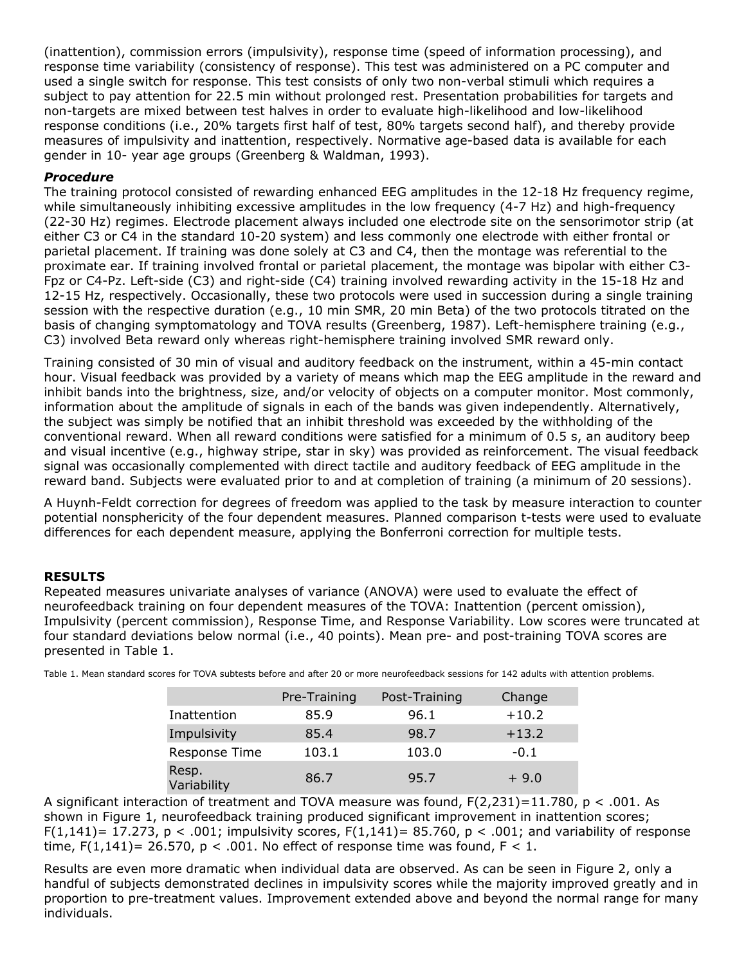(inattention), commission errors (impulsivity), response time (speed of information processing), and response time variability (consistency of response). This test was administered on a PC computer and used a single switch for response. This test consists of only two non-verbal stimuli which requires a subject to pay attention for 22.5 min without prolonged rest. Presentation probabilities for targets and non-targets are mixed between test halves in order to evaluate high-likelihood and low-likelihood response conditions (i.e., 20% targets first half of test, 80% targets second half), and thereby provide measures of impulsivity and inattention, respectively. Normative age-based data is available for each gender in 10- year age groups (Greenberg & Waldman, 1993).

## *Procedure*

The training protocol consisted of rewarding enhanced EEG amplitudes in the 12-18 Hz frequency regime, while simultaneously inhibiting excessive amplitudes in the low frequency (4-7 Hz) and high-frequency (22-30 Hz) regimes. Electrode placement always included one electrode site on the sensorimotor strip (at either C3 or C4 in the standard 10-20 system) and less commonly one electrode with either frontal or parietal placement. If training was done solely at C3 and C4, then the montage was referential to the proximate ear. If training involved frontal or parietal placement, the montage was bipolar with either C3- Fpz or C4-Pz. Left-side (C3) and right-side (C4) training involved rewarding activity in the 15-18 Hz and 12-15 Hz, respectively. Occasionally, these two protocols were used in succession during a single training session with the respective duration (e.g., 10 min SMR, 20 min Beta) of the two protocols titrated on the basis of changing symptomatology and TOVA results (Greenberg, 1987). Left-hemisphere training (e.g., C3) involved Beta reward only whereas right-hemisphere training involved SMR reward only.

Training consisted of 30 min of visual and auditory feedback on the instrument, within a 45-min contact hour. Visual feedback was provided by a variety of means which map the EEG amplitude in the reward and inhibit bands into the brightness, size, and/or velocity of objects on a computer monitor. Most commonly, information about the amplitude of signals in each of the bands was given independently. Alternatively, the subject was simply be notified that an inhibit threshold was exceeded by the withholding of the conventional reward. When all reward conditions were satisfied for a minimum of 0.5 s, an auditory beep and visual incentive (e.g., highway stripe, star in sky) was provided as reinforcement. The visual feedback signal was occasionally complemented with direct tactile and auditory feedback of EEG amplitude in the reward band. Subjects were evaluated prior to and at completion of training (a minimum of 20 sessions).

A Huynh-Feldt correction for degrees of freedom was applied to the task by measure interaction to counter potential nonsphericity of the four dependent measures. Planned comparison t-tests were used to evaluate differences for each dependent measure, applying the Bonferroni correction for multiple tests.

## **RESULTS**

Repeated measures univariate analyses of variance (ANOVA) were used to evaluate the effect of neurofeedback training on four dependent measures of the TOVA: Inattention (percent omission), Impulsivity (percent commission), Response Time, and Response Variability. Low scores were truncated at four standard deviations below normal (i.e., 40 points). Mean pre- and post-training TOVA scores are presented in Table 1.

|                      | Pre-Training | Post-Training | Change  |
|----------------------|--------------|---------------|---------|
| Inattention          | 85.9         | 96.1          | $+10.2$ |
| Impulsivity          | 85.4         | 98.7          | $+13.2$ |
| Response Time        | 103.1        | 103.0         | $-0.1$  |
| Resp.<br>Variability | 86.7         | 95.7          | $+9.0$  |

Table 1. Mean standard scores for TOVA subtests before and after 20 or more neurofeedback sessions for 142 adults with attention problems.

A significant interaction of treatment and TOVA measure was found,  $F(2,231)=11.780$ ,  $p < .001$ . As shown in Figure 1, neurofeedback training produced significant improvement in inattention scores;  $F(1,141)$ = 17.273, p < .001; impulsivity scores,  $F(1,141)$ = 85.760, p < .001; and variability of response time,  $F(1,141)= 26.570$ ,  $p < .001$ . No effect of response time was found,  $F < 1$ .

Results are even more dramatic when individual data are observed. As can be seen in Figure 2, only a handful of subjects demonstrated declines in impulsivity scores while the majority improved greatly and in proportion to pre-treatment values. Improvement extended above and beyond the normal range for many individuals.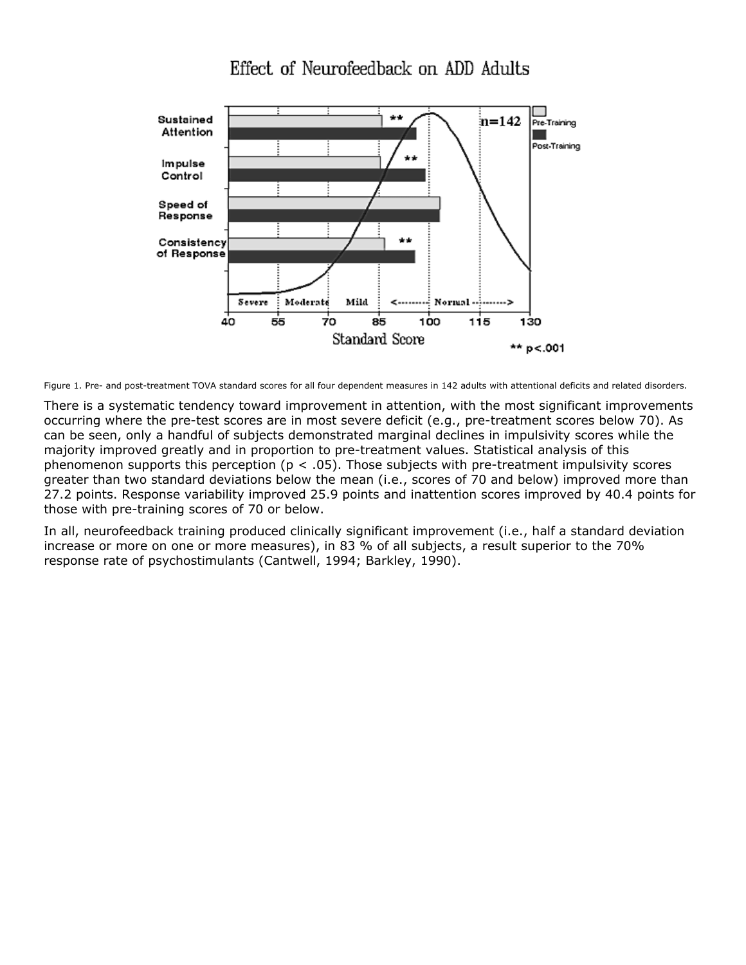

Figure 1. Pre- and post-treatment TOVA standard scores for all four dependent measures in 142 adults with attentional deficits and related disorders.

There is a systematic tendency toward improvement in attention, with the most significant improvements occurring where the pre-test scores are in most severe deficit (e.g., pre-treatment scores below 70). As can be seen, only a handful of subjects demonstrated marginal declines in impulsivity scores while the majority improved greatly and in proportion to pre-treatment values. Statistical analysis of this phenomenon supports this perception ( $p < .05$ ). Those subjects with pre-treatment impulsivity scores greater than two standard deviations below the mean (i.e., scores of 70 and below) improved more than 27.2 points. Response variability improved 25.9 points and inattention scores improved by 40.4 points for those with pre-training scores of 70 or below.

In all, neurofeedback training produced clinically significant improvement (i.e., half a standard deviation increase or more on one or more measures), in 83 % of all subjects, a result superior to the 70% response rate of psychostimulants (Cantwell, 1994; Barkley, 1990).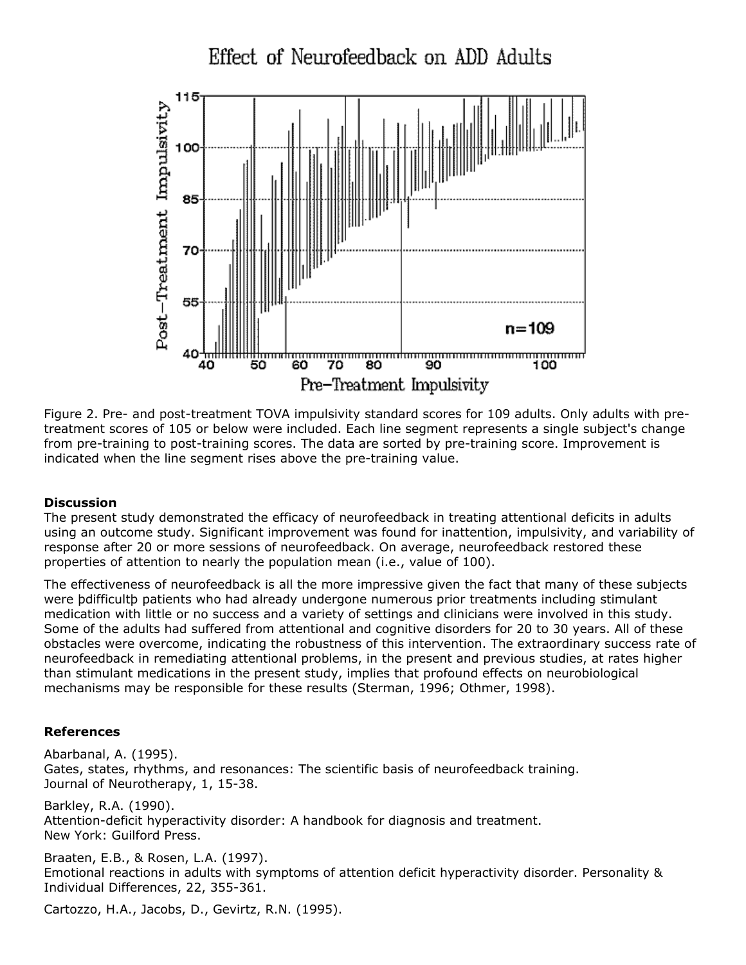

Figure 2. Pre- and post-treatment TOVA impulsivity standard scores for 109 adults. Only adults with pretreatment scores of 105 or below were included. Each line segment represents a single subject's change from pre-training to post-training scores. The data are sorted by pre-training score. Improvement is indicated when the line segment rises above the pre-training value.

### **Discussion**

The present study demonstrated the efficacy of neurofeedback in treating attentional deficits in adults using an outcome study. Significant improvement was found for inattention, impulsivity, and variability of response after 20 or more sessions of neurofeedback. On average, neurofeedback restored these properties of attention to nearly the population mean (i.e., value of 100).

The effectiveness of neurofeedback is all the more impressive given the fact that many of these subjects were þdifficultþ patients who had already undergone numerous prior treatments including stimulant medication with little or no success and a variety of settings and clinicians were involved in this study. Some of the adults had suffered from attentional and cognitive disorders for 20 to 30 years. All of these obstacles were overcome, indicating the robustness of this intervention. The extraordinary success rate of neurofeedback in remediating attentional problems, in the present and previous studies, at rates higher than stimulant medications in the present study, implies that profound effects on neurobiological mechanisms may be responsible for these results (Sterman, 1996; Othmer, 1998).

#### **References**

Abarbanal, A. (1995). Gates, states, rhythms, and resonances: The scientific basis of neurofeedback training. Journal of Neurotherapy, 1, 15-38.

Barkley, R.A. (1990). Attention-deficit hyperactivity disorder: A handbook for diagnosis and treatment. New York: Guilford Press.

Braaten, E.B., & Rosen, L.A. (1997). Emotional reactions in adults with symptoms of attention deficit hyperactivity disorder. Personality & Individual Differences, 22, 355-361.

Cartozzo, H.A., Jacobs, D., Gevirtz, R.N. (1995).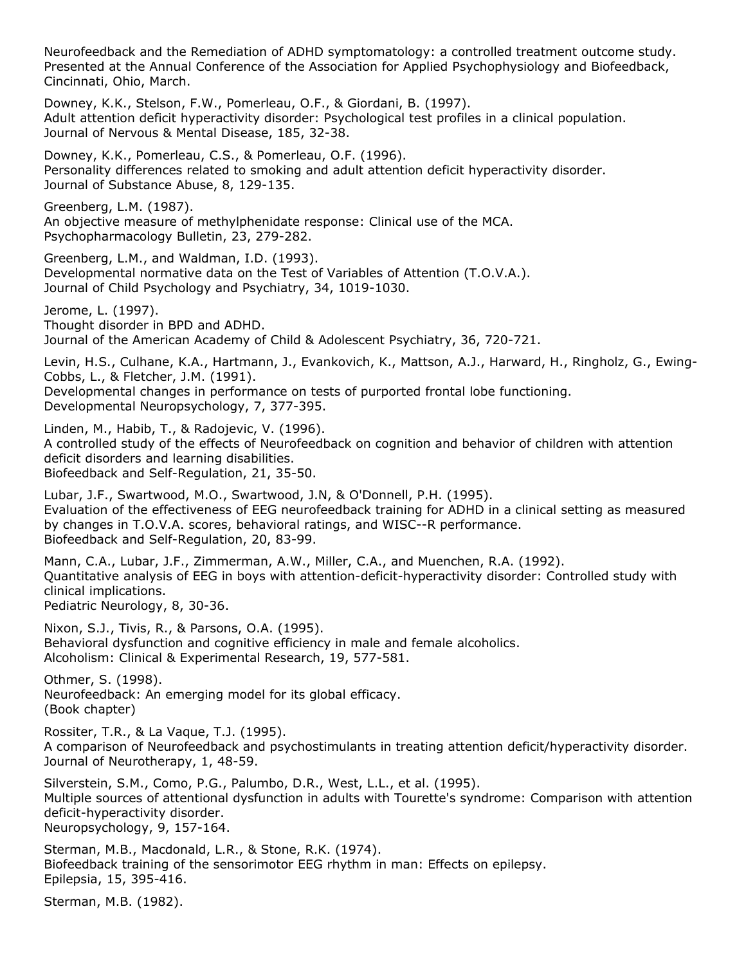Neurofeedback and the Remediation of ADHD symptomatology: a controlled treatment outcome study. Presented at the Annual Conference of the Association for Applied Psychophysiology and Biofeedback, Cincinnati, Ohio, March.

Downey, K.K., Stelson, F.W., Pomerleau, O.F., & Giordani, B. (1997). Adult attention deficit hyperactivity disorder: Psychological test profiles in a clinical population. Journal of Nervous & Mental Disease, 185, 32-38.

Downey, K.K., Pomerleau, C.S., & Pomerleau, O.F. (1996). Personality differences related to smoking and adult attention deficit hyperactivity disorder. Journal of Substance Abuse, 8, 129-135.

Greenberg, L.M. (1987). An objective measure of methylphenidate response: Clinical use of the MCA. Psychopharmacology Bulletin, 23, 279-282.

Greenberg, L.M., and Waldman, I.D. (1993). Developmental normative data on the Test of Variables of Attention (T.O.V.A.). Journal of Child Psychology and Psychiatry, 34, 1019-1030.

Jerome, L. (1997). Thought disorder in BPD and ADHD. Journal of the American Academy of Child & Adolescent Psychiatry, 36, 720-721.

Levin, H.S., Culhane, K.A., Hartmann, J., Evankovich, K., Mattson, A.J., Harward, H., Ringholz, G., Ewing-Cobbs, L., & Fletcher, J.M. (1991).

Developmental changes in performance on tests of purported frontal lobe functioning. Developmental Neuropsychology, 7, 377-395.

Linden, M., Habib, T., & Radojevic, V. (1996). A controlled study of the effects of Neurofeedback on cognition and behavior of children with attention deficit disorders and learning disabilities. Biofeedback and Self-Regulation, 21, 35-50.

Lubar, J.F., Swartwood, M.O., Swartwood, J.N, & O'Donnell, P.H. (1995). Evaluation of the effectiveness of EEG neurofeedback training for ADHD in a clinical setting as measured by changes in T.O.V.A. scores, behavioral ratings, and WISC--R performance. Biofeedback and Self-Regulation, 20, 83-99.

Mann, C.A., Lubar, J.F., Zimmerman, A.W., Miller, C.A., and Muenchen, R.A. (1992). Quantitative analysis of EEG in boys with attention-deficit-hyperactivity disorder: Controlled study with clinical implications. Pediatric Neurology, 8, 30-36.

Nixon, S.J., Tivis, R., & Parsons, O.A. (1995). Behavioral dysfunction and cognitive efficiency in male and female alcoholics. Alcoholism: Clinical & Experimental Research, 19, 577-581.

Othmer, S. (1998). Neurofeedback: An emerging model for its global efficacy. (Book chapter)

Rossiter, T.R., & La Vaque, T.J. (1995). A comparison of Neurofeedback and psychostimulants in treating attention deficit/hyperactivity disorder. Journal of Neurotherapy, 1, 48-59.

Silverstein, S.M., Como, P.G., Palumbo, D.R., West, L.L., et al. (1995). Multiple sources of attentional dysfunction in adults with Tourette's syndrome: Comparison with attention deficit-hyperactivity disorder. Neuropsychology, 9, 157-164.

Sterman, M.B., Macdonald, L.R., & Stone, R.K. (1974). Biofeedback training of the sensorimotor EEG rhythm in man: Effects on epilepsy. Epilepsia, 15, 395-416.

Sterman, M.B. (1982).